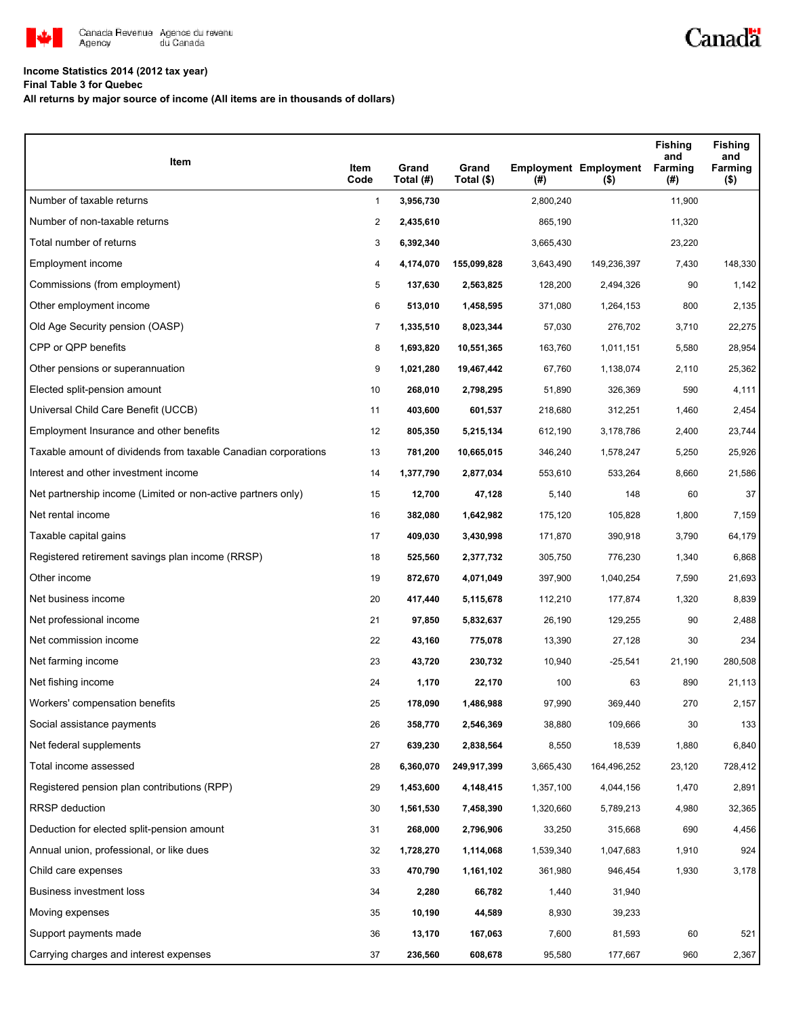

# **Income Statistics 2014 (2012 tax year)**

**Final Table 3 for Quebec**

**All returns by major source of income (All items are in thousands of dollars)**

| Item                                                           | Item<br>Code   | Grand<br>Total (#) | Grand<br>Total (\$) | $($ #)    | <b>Employment Employment</b><br>$($ \$) | <b>Fishing</b><br>and<br>Farming<br>(#) | <b>Fishing</b><br>and<br>Farming<br>$($ \$) |
|----------------------------------------------------------------|----------------|--------------------|---------------------|-----------|-----------------------------------------|-----------------------------------------|---------------------------------------------|
| Number of taxable returns                                      | $\mathbf{1}$   | 3,956,730          |                     | 2,800,240 |                                         | 11,900                                  |                                             |
| Number of non-taxable returns                                  | 2              | 2,435,610          |                     | 865,190   |                                         | 11,320                                  |                                             |
| Total number of returns                                        | 3              | 6,392,340          |                     | 3,665,430 |                                         | 23,220                                  |                                             |
| Employment income                                              | 4              | 4,174,070          | 155,099,828         | 3,643,490 | 149,236,397                             | 7,430                                   | 148,330                                     |
| Commissions (from employment)                                  | 5              | 137,630            | 2,563,825           | 128,200   | 2,494,326                               | 90                                      | 1,142                                       |
| Other employment income                                        | 6              | 513,010            | 1,458,595           | 371,080   | 1,264,153                               | 800                                     | 2,135                                       |
| Old Age Security pension (OASP)                                | $\overline{7}$ | 1,335,510          | 8,023,344           | 57,030    | 276,702                                 | 3,710                                   | 22,275                                      |
| CPP or QPP benefits                                            | 8              | 1,693,820          | 10,551,365          | 163,760   | 1,011,151                               | 5,580                                   | 28,954                                      |
| Other pensions or superannuation                               | 9              | 1,021,280          | 19,467,442          | 67,760    | 1,138,074                               | 2,110                                   | 25,362                                      |
| Elected split-pension amount                                   | 10             | 268,010            | 2,798,295           | 51,890    | 326,369                                 | 590                                     | 4,111                                       |
| Universal Child Care Benefit (UCCB)                            | 11             | 403,600            | 601,537             | 218,680   | 312,251                                 | 1,460                                   | 2,454                                       |
| Employment Insurance and other benefits                        | 12             | 805,350            | 5,215,134           | 612,190   | 3,178,786                               | 2,400                                   | 23,744                                      |
| Taxable amount of dividends from taxable Canadian corporations | 13             | 781,200            | 10,665,015          | 346,240   | 1,578,247                               | 5,250                                   | 25,926                                      |
| Interest and other investment income                           | 14             | 1,377,790          | 2,877,034           | 553,610   | 533,264                                 | 8,660                                   | 21,586                                      |
| Net partnership income (Limited or non-active partners only)   | 15             | 12,700             | 47,128              | 5,140     | 148                                     | 60                                      | 37                                          |
| Net rental income                                              | 16             | 382,080            | 1,642,982           | 175,120   | 105,828                                 | 1,800                                   | 7,159                                       |
| Taxable capital gains                                          | 17             | 409,030            | 3,430,998           | 171,870   | 390,918                                 | 3,790                                   | 64,179                                      |
| Registered retirement savings plan income (RRSP)               | 18             | 525,560            | 2,377,732           | 305,750   | 776,230                                 | 1,340                                   | 6,868                                       |
| Other income                                                   | 19             | 872,670            | 4,071,049           | 397,900   | 1,040,254                               | 7,590                                   | 21,693                                      |
| Net business income                                            | 20             | 417,440            | 5,115,678           | 112,210   | 177,874                                 | 1,320                                   | 8,839                                       |
| Net professional income                                        | 21             | 97,850             | 5,832,637           | 26,190    | 129,255                                 | 90                                      | 2,488                                       |
| Net commission income                                          | 22             | 43,160             | 775,078             | 13,390    | 27,128                                  | 30                                      | 234                                         |
| Net farming income                                             | 23             | 43,720             | 230,732             | 10,940    | $-25,541$                               | 21,190                                  | 280,508                                     |
| Net fishing income                                             | 24             | 1,170              | 22,170              | 100       | 63                                      | 890                                     | 21,113                                      |
| Workers' compensation benefits                                 | 25             | 178,090            | 1,486,988           | 97,990    | 369.440                                 | 270                                     | 2,157                                       |
| Social assistance payments                                     | 26             | 358,770            | 2,546,369           | 38,880    | 109,666                                 | 30                                      | 133                                         |
| Net federal supplements                                        | 27             | 639,230            | 2,838,564           | 8,550     | 18,539                                  | 1,880                                   | 6,840                                       |
| Total income assessed                                          | 28             | 6,360,070          | 249,917,399         | 3,665,430 | 164,496,252                             | 23,120                                  | 728,412                                     |
| Registered pension plan contributions (RPP)                    | 29             | 1,453,600          | 4,148,415           | 1,357,100 | 4,044,156                               | 1,470                                   | 2,891                                       |
| <b>RRSP</b> deduction                                          | 30             | 1,561,530          | 7,458,390           | 1,320,660 | 5,789,213                               | 4,980                                   | 32,365                                      |
| Deduction for elected split-pension amount                     | 31             | 268,000            | 2,796,906           | 33,250    | 315,668                                 | 690                                     | 4,456                                       |
| Annual union, professional, or like dues                       | 32             | 1,728,270          | 1,114,068           | 1,539,340 | 1,047,683                               | 1,910                                   | 924                                         |
| Child care expenses                                            | 33             | 470,790            | 1,161,102           | 361,980   | 946,454                                 | 1,930                                   | 3,178                                       |
| Business investment loss                                       | 34             | 2,280              | 66,782              | 1,440     | 31,940                                  |                                         |                                             |
| Moving expenses                                                | 35             | 10,190             | 44,589              | 8,930     | 39,233                                  |                                         |                                             |
| Support payments made                                          | 36             | 13,170             | 167,063             | 7,600     | 81,593                                  | 60                                      | 521                                         |
| Carrying charges and interest expenses                         | 37             | 236,560            | 608,678             | 95,580    | 177,667                                 | 960                                     | 2,367                                       |

Canadä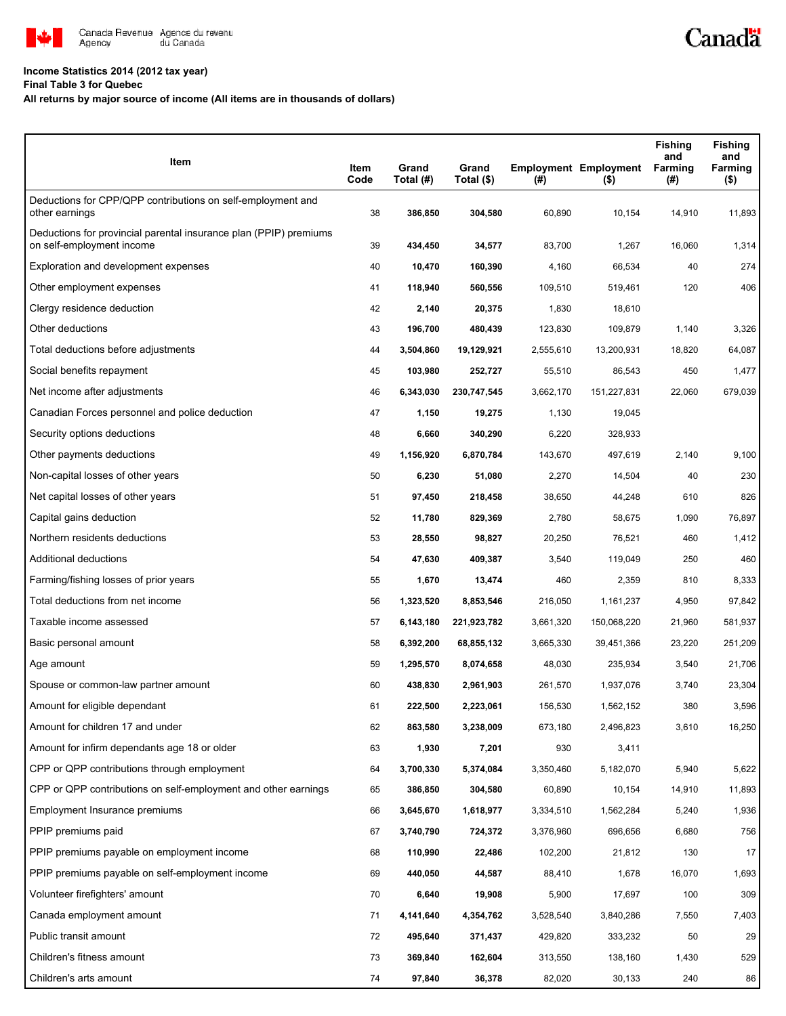

# **Income Statistics 2014 (2012 tax year)**

## **Final Table 3 for Quebec**

# **All returns by major source of income (All items are in thousands of dollars)**

| Item                                                                                           | Item<br>Code | Grand<br>Total (#) | Grand<br>Total (\$) | $($ #)    | <b>Employment Employment</b><br>$($ \$) | <b>Fishing</b><br>and<br>Farming<br>(#) | <b>Fishing</b><br>and<br>Farming<br>$($ \$) |
|------------------------------------------------------------------------------------------------|--------------|--------------------|---------------------|-----------|-----------------------------------------|-----------------------------------------|---------------------------------------------|
| Deductions for CPP/QPP contributions on self-employment and<br>other earnings                  | 38           | 386,850            | 304,580             | 60,890    | 10,154                                  | 14,910                                  | 11,893                                      |
| Deductions for provincial parental insurance plan (PPIP) premiums<br>on self-employment income | 39           | 434,450            | 34,577              | 83,700    | 1,267                                   | 16,060                                  | 1,314                                       |
| Exploration and development expenses                                                           | 40           | 10,470             | 160,390             | 4,160     | 66,534                                  | 40                                      | 274                                         |
| Other employment expenses                                                                      | 41           | 118,940            | 560,556             | 109,510   | 519,461                                 | 120                                     | 406                                         |
| Clergy residence deduction                                                                     | 42           | 2,140              | 20,375              | 1,830     | 18,610                                  |                                         |                                             |
| Other deductions                                                                               | 43           | 196,700            | 480,439             | 123,830   | 109,879                                 | 1,140                                   | 3,326                                       |
| Total deductions before adjustments                                                            | 44           | 3,504,860          | 19,129,921          | 2,555,610 | 13,200,931                              | 18,820                                  | 64,087                                      |
| Social benefits repayment                                                                      | 45           | 103,980            | 252,727             | 55,510    | 86,543                                  | 450                                     | 1,477                                       |
| Net income after adjustments                                                                   | 46           | 6,343,030          | 230,747,545         | 3,662,170 | 151,227,831                             | 22,060                                  | 679,039                                     |
| Canadian Forces personnel and police deduction                                                 | 47           | 1,150              | 19,275              | 1,130     | 19,045                                  |                                         |                                             |
| Security options deductions                                                                    | 48           | 6,660              | 340,290             | 6,220     | 328,933                                 |                                         |                                             |
| Other payments deductions                                                                      | 49           | 1,156,920          | 6,870,784           | 143,670   | 497,619                                 | 2,140                                   | 9,100                                       |
| Non-capital losses of other years                                                              | 50           | 6,230              | 51,080              | 2,270     | 14,504                                  | 40                                      | 230                                         |
| Net capital losses of other years                                                              | 51           | 97,450             | 218,458             | 38,650    | 44,248                                  | 610                                     | 826                                         |
| Capital gains deduction                                                                        | 52           | 11,780             | 829,369             | 2,780     | 58,675                                  | 1,090                                   | 76,897                                      |
| Northern residents deductions                                                                  | 53           | 28,550             | 98,827              | 20,250    | 76,521                                  | 460                                     | 1,412                                       |
| Additional deductions                                                                          | 54           | 47,630             | 409,387             | 3,540     | 119,049                                 | 250                                     | 460                                         |
| Farming/fishing losses of prior years                                                          | 55           | 1,670              | 13,474              | 460       | 2,359                                   | 810                                     | 8,333                                       |
| Total deductions from net income                                                               | 56           | 1,323,520          | 8,853,546           | 216,050   | 1,161,237                               | 4,950                                   | 97,842                                      |
| Taxable income assessed                                                                        | 57           | 6,143,180          | 221,923,782         | 3,661,320 | 150,068,220                             | 21,960                                  | 581,937                                     |
| Basic personal amount                                                                          | 58           | 6,392,200          | 68,855,132          | 3,665,330 | 39,451,366                              | 23,220                                  | 251,209                                     |
| Age amount                                                                                     | 59           | 1,295,570          | 8,074,658           | 48,030    | 235,934                                 | 3,540                                   | 21,706                                      |
| Spouse or common-law partner amount                                                            | 60           | 438,830            | 2,961,903           | 261,570   | 1,937,076                               | 3,740                                   | 23,304                                      |
| Amount for eligible dependant                                                                  | 61           | 222,500            | 2,223,061           | 156,530   | 1,562,152                               | 380                                     | 3,596                                       |
| Amount for children 17 and under                                                               | 62           | 863,580            | 3,238,009           | 673,180   | 2,496,823                               | 3,610                                   | 16,250                                      |
| Amount for infirm dependants age 18 or older                                                   | 63           | 1,930              | 7,201               | 930       | 3,411                                   |                                         |                                             |
| CPP or QPP contributions through employment                                                    | 64           | 3,700,330          | 5,374,084           | 3,350,460 | 5,182,070                               | 5,940                                   | 5,622                                       |
| CPP or QPP contributions on self-employment and other earnings                                 | 65           | 386,850            | 304,580             | 60,890    | 10,154                                  | 14,910                                  | 11,893                                      |
| Employment Insurance premiums                                                                  | 66           | 3,645,670          | 1,618,977           | 3,334,510 | 1,562,284                               | 5,240                                   | 1,936                                       |
| PPIP premiums paid                                                                             | 67           | 3,740,790          | 724,372             | 3,376,960 | 696,656                                 | 6,680                                   | 756                                         |
| PPIP premiums payable on employment income                                                     | 68           | 110,990            | 22,486              | 102,200   | 21,812                                  | 130                                     | 17                                          |
| PPIP premiums payable on self-employment income                                                | 69           | 440,050            | 44,587              | 88,410    | 1,678                                   | 16,070                                  | 1,693                                       |
| Volunteer firefighters' amount                                                                 | 70           | 6,640              | 19,908              | 5,900     | 17,697                                  | 100                                     | 309                                         |
| Canada employment amount                                                                       | 71           | 4,141,640          | 4,354,762           | 3,528,540 | 3,840,286                               | 7,550                                   | 7,403                                       |
| Public transit amount                                                                          | 72           | 495,640            | 371,437             | 429,820   | 333,232                                 | 50                                      | 29                                          |
| Children's fitness amount                                                                      | 73           | 369,840            | 162,604             | 313,550   | 138,160                                 | 1,430                                   | 529                                         |
| Children's arts amount                                                                         | 74           | 97,840             | 36,378              | 82,020    | 30,133                                  | 240                                     | 86                                          |

Canadä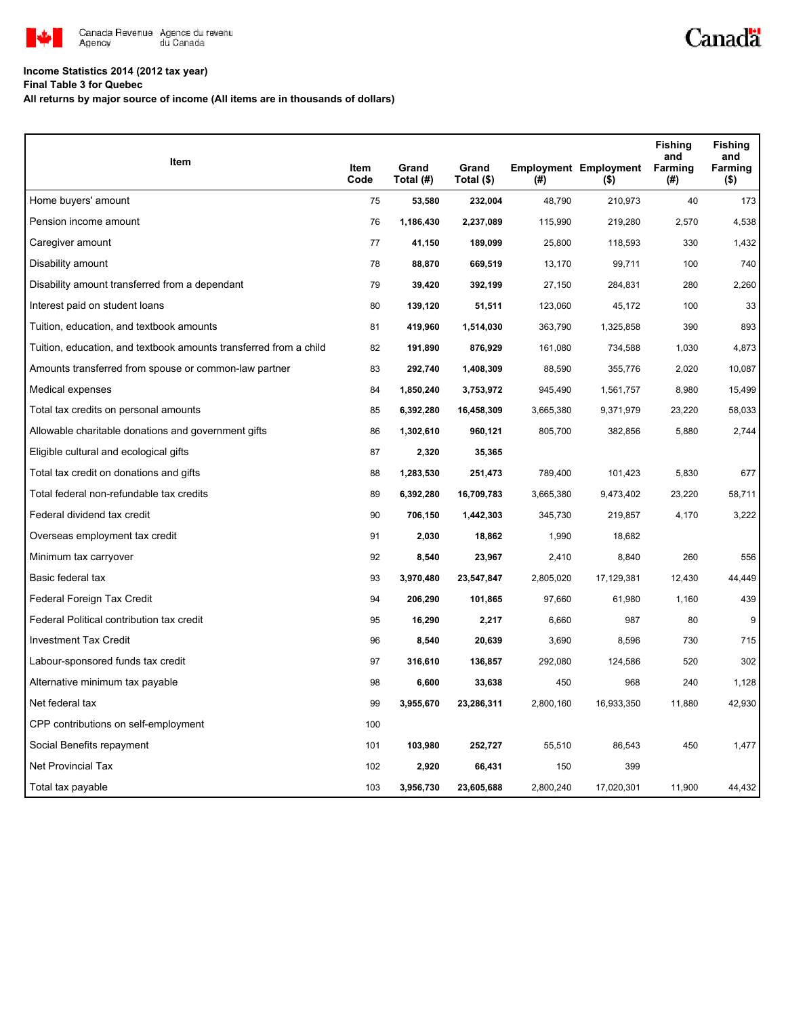

# **Income Statistics 2014 (2012 tax year)**

**Final Table 3 for Quebec**

**All returns by major source of income (All items are in thousands of dollars)**

| Item                                                              |              | Grand     | Grand      |           | <b>Employment Employment</b> | <b>Fishing</b><br>and<br>Farming | <b>Fishing</b><br>and<br>Farming |
|-------------------------------------------------------------------|--------------|-----------|------------|-----------|------------------------------|----------------------------------|----------------------------------|
|                                                                   | Item<br>Code | Total (#) | Total (\$) | (#)       | $($ \$)                      | (#)                              | $($ \$)                          |
| Home buyers' amount                                               | 75           | 53,580    | 232,004    | 48,790    | 210,973                      | 40                               | 173                              |
| Pension income amount                                             | 76           | 1,186,430 | 2,237,089  | 115,990   | 219,280                      | 2,570                            | 4,538                            |
| Caregiver amount                                                  | 77           | 41,150    | 189,099    | 25,800    | 118,593                      | 330                              | 1,432                            |
| Disability amount                                                 | 78           | 88,870    | 669,519    | 13,170    | 99,711                       | 100                              | 740                              |
| Disability amount transferred from a dependant                    | 79           | 39,420    | 392,199    | 27,150    | 284,831                      | 280                              | 2,260                            |
| Interest paid on student loans                                    | 80           | 139,120   | 51,511     | 123,060   | 45,172                       | 100                              | 33                               |
| Tuition, education, and textbook amounts                          | 81           | 419,960   | 1,514,030  | 363,790   | 1,325,858                    | 390                              | 893                              |
| Tuition, education, and textbook amounts transferred from a child | 82           | 191,890   | 876,929    | 161,080   | 734,588                      | 1,030                            | 4,873                            |
| Amounts transferred from spouse or common-law partner             | 83           | 292,740   | 1,408,309  | 88,590    | 355,776                      | 2,020                            | 10,087                           |
| Medical expenses                                                  | 84           | 1,850,240 | 3,753,972  | 945,490   | 1,561,757                    | 8,980                            | 15,499                           |
| Total tax credits on personal amounts                             | 85           | 6,392,280 | 16,458,309 | 3,665,380 | 9,371,979                    | 23,220                           | 58,033                           |
| Allowable charitable donations and government gifts               | 86           | 1,302,610 | 960,121    | 805,700   | 382,856                      | 5,880                            | 2,744                            |
| Eligible cultural and ecological gifts                            | 87           | 2,320     | 35,365     |           |                              |                                  |                                  |
| Total tax credit on donations and gifts                           | 88           | 1,283,530 | 251,473    | 789,400   | 101,423                      | 5,830                            | 677                              |
| Total federal non-refundable tax credits                          | 89           | 6,392,280 | 16,709,783 | 3,665,380 | 9,473,402                    | 23,220                           | 58,711                           |
| Federal dividend tax credit                                       | 90           | 706,150   | 1,442,303  | 345,730   | 219,857                      | 4,170                            | 3,222                            |
| Overseas employment tax credit                                    | 91           | 2,030     | 18,862     | 1,990     | 18,682                       |                                  |                                  |
| Minimum tax carryover                                             | 92           | 8,540     | 23,967     | 2,410     | 8,840                        | 260                              | 556                              |
| Basic federal tax                                                 | 93           | 3,970,480 | 23,547,847 | 2,805,020 | 17,129,381                   | 12,430                           | 44,449                           |
| Federal Foreign Tax Credit                                        | 94           | 206,290   | 101,865    | 97,660    | 61,980                       | 1,160                            | 439                              |
| Federal Political contribution tax credit                         | 95           | 16,290    | 2,217      | 6,660     | 987                          | 80                               | 9                                |
| <b>Investment Tax Credit</b>                                      | 96           | 8,540     | 20,639     | 3,690     | 8,596                        | 730                              | 715                              |
| Labour-sponsored funds tax credit                                 | 97           | 316,610   | 136,857    | 292,080   | 124,586                      | 520                              | 302                              |
| Alternative minimum tax payable                                   | 98           | 6,600     | 33,638     | 450       | 968                          | 240                              | 1,128                            |
| Net federal tax                                                   | 99           | 3,955,670 | 23,286,311 | 2,800,160 | 16,933,350                   | 11,880                           | 42,930                           |
| CPP contributions on self-employment                              | 100          |           |            |           |                              |                                  |                                  |
| Social Benefits repayment                                         | 101          | 103,980   | 252,727    | 55,510    | 86,543                       | 450                              | 1,477                            |
| <b>Net Provincial Tax</b>                                         | 102          | 2,920     | 66,431     | 150       | 399                          |                                  |                                  |
| Total tax payable                                                 | 103          | 3,956,730 | 23,605,688 | 2,800,240 | 17,020,301                   | 11,900                           | 44,432                           |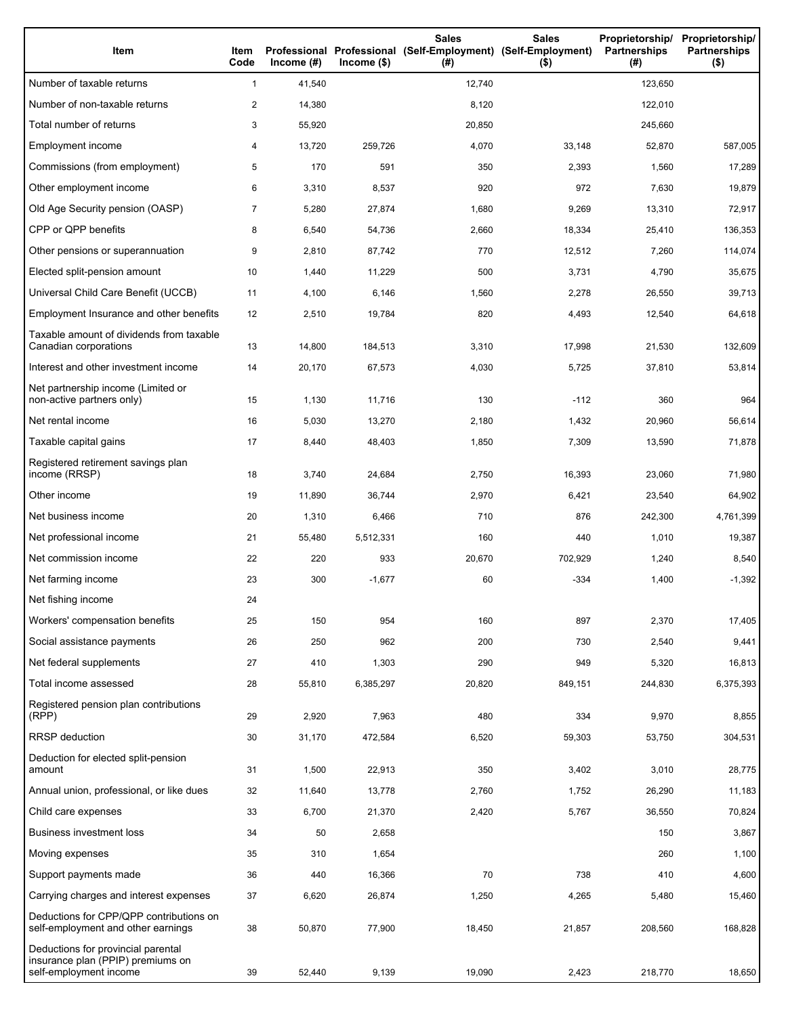| Item                                                                                              | Item<br>Code   | Income $(H)$ | $lncome($ \$) | <b>Sales</b><br>Professional Professional (Self-Employment) (Self-Employment)<br>(# ) | <b>Sales</b><br>$($ \$) | Proprietorship/<br>Partnerships<br>(#) | Proprietorship/<br><b>Partnerships</b><br>$($ \$) |
|---------------------------------------------------------------------------------------------------|----------------|--------------|---------------|---------------------------------------------------------------------------------------|-------------------------|----------------------------------------|---------------------------------------------------|
| Number of taxable returns                                                                         | 1              | 41,540       |               | 12,740                                                                                |                         | 123,650                                |                                                   |
| Number of non-taxable returns                                                                     | 2              | 14,380       |               | 8,120                                                                                 |                         | 122,010                                |                                                   |
| Total number of returns                                                                           | 3              | 55,920       |               | 20,850                                                                                |                         | 245,660                                |                                                   |
| Employment income                                                                                 | 4              | 13,720       | 259,726       | 4,070                                                                                 | 33,148                  | 52,870                                 | 587,005                                           |
| Commissions (from employment)                                                                     | 5              | 170          | 591           | 350                                                                                   | 2,393                   | 1,560                                  | 17,289                                            |
| Other employment income                                                                           | 6              | 3,310        | 8,537         | 920                                                                                   | 972                     | 7,630                                  | 19,879                                            |
| Old Age Security pension (OASP)                                                                   | $\overline{7}$ | 5,280        | 27,874        | 1,680                                                                                 | 9,269                   | 13,310                                 | 72,917                                            |
| CPP or QPP benefits                                                                               | 8              | 6,540        | 54,736        | 2,660                                                                                 | 18,334                  | 25,410                                 | 136,353                                           |
| Other pensions or superannuation                                                                  | 9              | 2,810        | 87,742        | 770                                                                                   | 12,512                  | 7,260                                  | 114,074                                           |
| Elected split-pension amount                                                                      | 10             | 1,440        | 11,229        | 500                                                                                   | 3,731                   | 4,790                                  | 35,675                                            |
| Universal Child Care Benefit (UCCB)                                                               | 11             | 4,100        | 6,146         | 1,560                                                                                 | 2,278                   | 26,550                                 | 39,713                                            |
| Employment Insurance and other benefits                                                           | 12             | 2,510        | 19,784        | 820                                                                                   | 4,493                   | 12,540                                 | 64,618                                            |
| Taxable amount of dividends from taxable<br>Canadian corporations                                 | 13             | 14,800       | 184,513       | 3,310                                                                                 | 17,998                  | 21,530                                 | 132,609                                           |
| Interest and other investment income                                                              | 14             | 20,170       | 67,573        | 4,030                                                                                 | 5,725                   | 37,810                                 | 53,814                                            |
| Net partnership income (Limited or<br>non-active partners only)                                   | 15             | 1,130        | 11,716        | 130                                                                                   | $-112$                  | 360                                    | 964                                               |
| Net rental income                                                                                 | 16             | 5,030        | 13,270        | 2,180                                                                                 | 1,432                   | 20,960                                 | 56,614                                            |
| Taxable capital gains                                                                             | 17             | 8,440        | 48,403        | 1,850                                                                                 | 7,309                   | 13,590                                 | 71,878                                            |
| Registered retirement savings plan<br>income (RRSP)                                               | 18             | 3,740        | 24,684        | 2,750                                                                                 | 16,393                  | 23,060                                 | 71,980                                            |
| Other income                                                                                      | 19             | 11,890       | 36,744        | 2,970                                                                                 | 6,421                   | 23,540                                 | 64,902                                            |
| Net business income                                                                               | 20             | 1,310        | 6,466         | 710                                                                                   | 876                     | 242,300                                | 4,761,399                                         |
| Net professional income                                                                           | 21             | 55,480       | 5,512,331     | 160                                                                                   | 440                     | 1,010                                  | 19,387                                            |
| Net commission income                                                                             | 22             | 220          | 933           | 20,670                                                                                | 702,929                 | 1,240                                  | 8,540                                             |
| Net farming income                                                                                | 23             | 300          | $-1,677$      | 60                                                                                    | -334                    | 1,400                                  | $-1,392$                                          |
| Net fishing income                                                                                | 24             |              |               |                                                                                       |                         |                                        |                                                   |
| Workers' compensation benefits                                                                    | 25             | 150          | 954           | 160                                                                                   | 897                     | 2,370                                  | 17,405                                            |
| Social assistance payments                                                                        | 26             | 250          | 962           | 200                                                                                   | 730                     | 2,540                                  | 9,441                                             |
| Net federal supplements                                                                           | 27             | 410          | 1,303         | 290                                                                                   | 949                     | 5,320                                  | 16,813                                            |
| Total income assessed                                                                             | 28             | 55,810       | 6,385,297     | 20,820                                                                                | 849,151                 | 244,830                                | 6,375,393                                         |
| Registered pension plan contributions<br>(RPP)                                                    | 29             | 2,920        | 7,963         | 480                                                                                   | 334                     | 9,970                                  | 8,855                                             |
| <b>RRSP</b> deduction                                                                             | 30             | 31,170       | 472,584       | 6,520                                                                                 | 59,303                  | 53,750                                 | 304,531                                           |
| Deduction for elected split-pension<br>amount                                                     | 31             | 1,500        | 22,913        | 350                                                                                   | 3,402                   | 3,010                                  | 28,775                                            |
| Annual union, professional, or like dues                                                          | 32             | 11,640       | 13,778        | 2,760                                                                                 | 1,752                   | 26,290                                 | 11,183                                            |
| Child care expenses                                                                               | 33             | 6,700        | 21,370        | 2,420                                                                                 | 5,767                   | 36,550                                 | 70,824                                            |
| <b>Business investment loss</b>                                                                   | 34             | 50           | 2,658         |                                                                                       |                         | 150                                    | 3,867                                             |
| Moving expenses                                                                                   | 35             | 310          | 1,654         |                                                                                       |                         | 260                                    | 1,100                                             |
| Support payments made                                                                             | 36             | 440          | 16,366        | 70                                                                                    | 738                     | 410                                    | 4,600                                             |
| Carrying charges and interest expenses                                                            | 37             | 6,620        | 26,874        | 1,250                                                                                 | 4,265                   | 5,480                                  | 15,460                                            |
| Deductions for CPP/QPP contributions on<br>self-employment and other earnings                     | 38             | 50,870       | 77,900        | 18,450                                                                                | 21,857                  | 208,560                                | 168,828                                           |
| Deductions for provincial parental<br>insurance plan (PPIP) premiums on<br>self-employment income | 39             | 52,440       | 9,139         | 19,090                                                                                | 2,423                   | 218,770                                | 18,650                                            |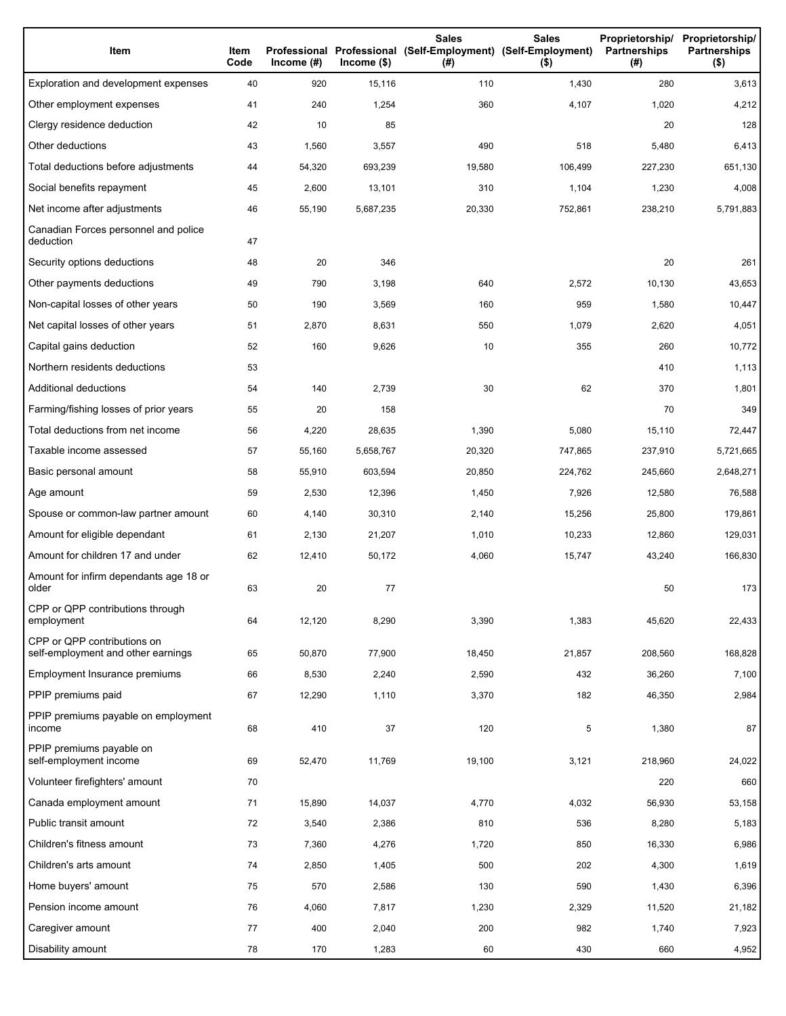| Item                                                              | Item<br>Code | Income $(\#)$ | $lncome$ (\$) | <b>Sales</b><br>Professional Professional (Self-Employment) (Self-Employment)<br>(#) | <b>Sales</b><br>$($ \$) | Proprietorship/<br>Partnerships<br>(#) | Proprietorship/<br><b>Partnerships</b><br>$($ \$) |
|-------------------------------------------------------------------|--------------|---------------|---------------|--------------------------------------------------------------------------------------|-------------------------|----------------------------------------|---------------------------------------------------|
| Exploration and development expenses                              | 40           | 920           | 15,116        | 110                                                                                  | 1,430                   | 280                                    | 3,613                                             |
| Other employment expenses                                         | 41           | 240           | 1,254         | 360                                                                                  | 4,107                   | 1,020                                  | 4,212                                             |
| Clergy residence deduction                                        | 42           | 10            | 85            |                                                                                      |                         | 20                                     | 128                                               |
| Other deductions                                                  | 43           | 1,560         | 3,557         | 490                                                                                  | 518                     | 5,480                                  | 6,413                                             |
| Total deductions before adjustments                               | 44           | 54,320        | 693,239       | 19,580                                                                               | 106,499                 | 227,230                                | 651,130                                           |
| Social benefits repayment                                         | 45           | 2,600         | 13,101        | 310                                                                                  | 1,104                   | 1,230                                  | 4,008                                             |
| Net income after adjustments                                      | 46           | 55,190        | 5,687,235     | 20,330                                                                               | 752,861                 | 238,210                                | 5,791,883                                         |
| Canadian Forces personnel and police<br>deduction                 | 47           |               |               |                                                                                      |                         |                                        |                                                   |
| Security options deductions                                       | 48           | 20            | 346           |                                                                                      |                         | 20                                     | 261                                               |
| Other payments deductions                                         | 49           | 790           | 3,198         | 640                                                                                  | 2,572                   | 10,130                                 | 43,653                                            |
| Non-capital losses of other years                                 | 50           | 190           | 3,569         | 160                                                                                  | 959                     | 1,580                                  | 10,447                                            |
| Net capital losses of other years                                 | 51           | 2,870         | 8,631         | 550                                                                                  | 1,079                   | 2,620                                  | 4,051                                             |
| Capital gains deduction                                           | 52           | 160           | 9,626         | 10                                                                                   | 355                     | 260                                    | 10,772                                            |
| Northern residents deductions                                     | 53           |               |               |                                                                                      |                         | 410                                    | 1,113                                             |
| Additional deductions                                             | 54           | 140           | 2,739         | 30                                                                                   | 62                      | 370                                    | 1,801                                             |
| Farming/fishing losses of prior years                             | 55           | 20            | 158           |                                                                                      |                         | 70                                     | 349                                               |
| Total deductions from net income                                  | 56           | 4,220         | 28,635        | 1,390                                                                                | 5,080                   | 15,110                                 | 72,447                                            |
| Taxable income assessed                                           | 57           | 55,160        | 5,658,767     | 20,320                                                                               | 747,865                 | 237,910                                | 5,721,665                                         |
| Basic personal amount                                             | 58           | 55,910        | 603,594       | 20,850                                                                               | 224,762                 | 245,660                                | 2,648,271                                         |
| Age amount                                                        | 59           | 2,530         | 12,396        | 1,450                                                                                | 7,926                   | 12,580                                 | 76,588                                            |
| Spouse or common-law partner amount                               | 60           | 4,140         | 30,310        | 2,140                                                                                | 15,256                  | 25,800                                 | 179,861                                           |
| Amount for eligible dependant                                     | 61           | 2,130         | 21,207        | 1,010                                                                                | 10,233                  | 12,860                                 | 129,031                                           |
| Amount for children 17 and under                                  | 62           | 12,410        | 50,172        | 4,060                                                                                | 15,747                  | 43,240                                 | 166,830                                           |
| Amount for infirm dependants age 18 or<br>older                   | 63           | 20            | 77            |                                                                                      |                         | 50                                     | 173                                               |
| CPP or QPP contributions through<br>employment                    | 64           | 12,120        | 8,290         | 3,390                                                                                | 1,383                   | 45,620                                 | 22,433                                            |
| CPP or QPP contributions on<br>self-employment and other earnings | 65           | 50,870        | 77,900        | 18,450                                                                               | 21,857                  | 208,560                                | 168,828                                           |
| Employment Insurance premiums                                     | 66           | 8,530         | 2,240         | 2,590                                                                                | 432                     | 36,260                                 | 7,100                                             |
| PPIP premiums paid                                                | 67           | 12,290        | 1,110         | 3,370                                                                                | 182                     | 46,350                                 | 2,984                                             |
| PPIP premiums payable on employment<br>income                     | 68           | 410           | 37            | 120                                                                                  | 5                       | 1,380                                  | 87                                                |
| PPIP premiums payable on<br>self-employment income                | 69           | 52,470        | 11,769        | 19,100                                                                               | 3,121                   | 218,960                                | 24,022                                            |
| Volunteer firefighters' amount                                    | 70           |               |               |                                                                                      |                         | 220                                    | 660                                               |
| Canada employment amount                                          | 71           | 15,890        | 14,037        | 4,770                                                                                | 4,032                   | 56,930                                 | 53,158                                            |
| Public transit amount                                             | 72           | 3,540         | 2,386         | 810                                                                                  | 536                     | 8,280                                  | 5,183                                             |
| Children's fitness amount                                         | 73           | 7,360         | 4,276         | 1,720                                                                                | 850                     | 16,330                                 | 6,986                                             |
| Children's arts amount                                            | 74           | 2,850         | 1,405         | 500                                                                                  | 202                     | 4,300                                  | 1,619                                             |
| Home buyers' amount                                               | 75           | 570           | 2,586         | 130                                                                                  | 590                     | 1,430                                  | 6,396                                             |
| Pension income amount                                             | 76           | 4,060         | 7,817         | 1,230                                                                                | 2,329                   | 11,520                                 | 21,182                                            |
| Caregiver amount                                                  | 77           | 400           | 2,040         | 200                                                                                  | 982                     | 1,740                                  | 7,923                                             |
| Disability amount                                                 | 78           | 170           | 1,283         | 60                                                                                   | 430                     | 660                                    | 4,952                                             |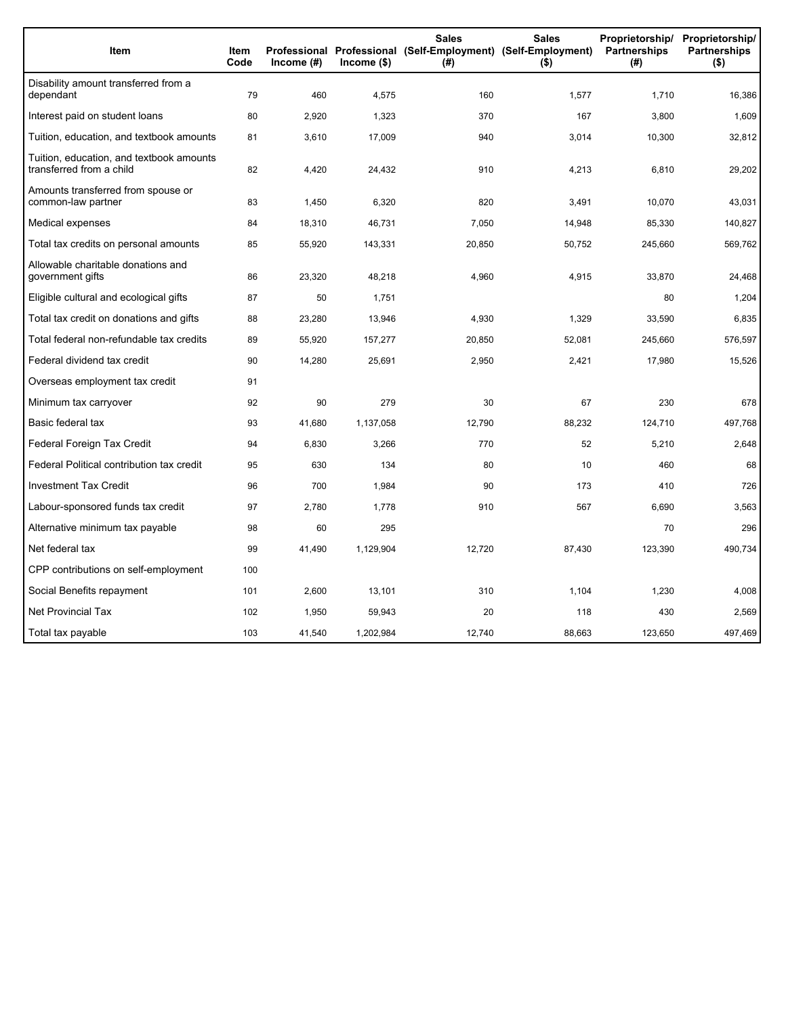| Item                                                                 | <b>Item</b><br>Code | Income $(\#)$ | $lncome$ (\$) | <b>Sales</b><br>Professional Professional (Self-Employment) (Self-Employment)<br>(# ) | <b>Sales</b><br>$($ \$) | Proprietorship/<br>Partnerships<br>(#) | Proprietorship/<br><b>Partnerships</b><br>$($ \$) |
|----------------------------------------------------------------------|---------------------|---------------|---------------|---------------------------------------------------------------------------------------|-------------------------|----------------------------------------|---------------------------------------------------|
| Disability amount transferred from a<br>dependant                    | 79                  | 460           | 4,575         | 160                                                                                   | 1,577                   | 1,710                                  | 16,386                                            |
| Interest paid on student loans                                       | 80                  | 2,920         | 1,323         | 370                                                                                   | 167                     | 3,800                                  | 1,609                                             |
| Tuition, education, and textbook amounts                             | 81                  | 3,610         | 17,009        | 940                                                                                   | 3,014                   | 10,300                                 | 32,812                                            |
| Tuition, education, and textbook amounts<br>transferred from a child | 82                  | 4,420         | 24,432        | 910                                                                                   | 4,213                   | 6,810                                  | 29,202                                            |
| Amounts transferred from spouse or<br>common-law partner             | 83                  | 1,450         | 6,320         | 820                                                                                   | 3,491                   | 10,070                                 | 43,031                                            |
| Medical expenses                                                     | 84                  | 18,310        | 46,731        | 7,050                                                                                 | 14,948                  | 85,330                                 | 140,827                                           |
| Total tax credits on personal amounts                                | 85                  | 55,920        | 143,331       | 20,850                                                                                | 50,752                  | 245,660                                | 569,762                                           |
| Allowable charitable donations and<br>government gifts               | 86                  | 23,320        | 48,218        | 4,960                                                                                 | 4,915                   | 33,870                                 | 24,468                                            |
| Eligible cultural and ecological gifts                               | 87                  | 50            | 1,751         |                                                                                       |                         | 80                                     | 1,204                                             |
| Total tax credit on donations and gifts                              | 88                  | 23,280        | 13,946        | 4,930                                                                                 | 1,329                   | 33,590                                 | 6,835                                             |
| Total federal non-refundable tax credits                             | 89                  | 55,920        | 157,277       | 20,850                                                                                | 52,081                  | 245,660                                | 576,597                                           |
| Federal dividend tax credit                                          | 90                  | 14,280        | 25.691        | 2,950                                                                                 | 2,421                   | 17,980                                 | 15,526                                            |
| Overseas employment tax credit                                       | 91                  |               |               |                                                                                       |                         |                                        |                                                   |
| Minimum tax carryover                                                | 92                  | 90            | 279           | 30                                                                                    | 67                      | 230                                    | 678                                               |
| Basic federal tax                                                    | 93                  | 41,680        | 1,137,058     | 12,790                                                                                | 88,232                  | 124,710                                | 497,768                                           |
| Federal Foreign Tax Credit                                           | 94                  | 6,830         | 3,266         | 770                                                                                   | 52                      | 5,210                                  | 2,648                                             |
| Federal Political contribution tax credit                            | 95                  | 630           | 134           | 80                                                                                    | 10                      | 460                                    | 68                                                |
| <b>Investment Tax Credit</b>                                         | 96                  | 700           | 1,984         | 90                                                                                    | 173                     | 410                                    | 726                                               |
| Labour-sponsored funds tax credit                                    | 97                  | 2,780         | 1,778         | 910                                                                                   | 567                     | 6,690                                  | 3,563                                             |
| Alternative minimum tax payable                                      | 98                  | 60            | 295           |                                                                                       |                         | 70                                     | 296                                               |
| Net federal tax                                                      | 99                  | 41,490        | 1,129,904     | 12,720                                                                                | 87,430                  | 123,390                                | 490,734                                           |
| CPP contributions on self-employment                                 | 100                 |               |               |                                                                                       |                         |                                        |                                                   |
| Social Benefits repayment                                            | 101                 | 2,600         | 13,101        | 310                                                                                   | 1,104                   | 1,230                                  | 4,008                                             |
| <b>Net Provincial Tax</b>                                            | 102                 | 1,950         | 59,943        | 20                                                                                    | 118                     | 430                                    | 2,569                                             |
| Total tax payable                                                    | 103                 | 41,540        | 1,202,984     | 12,740                                                                                | 88,663                  | 123,650                                | 497,469                                           |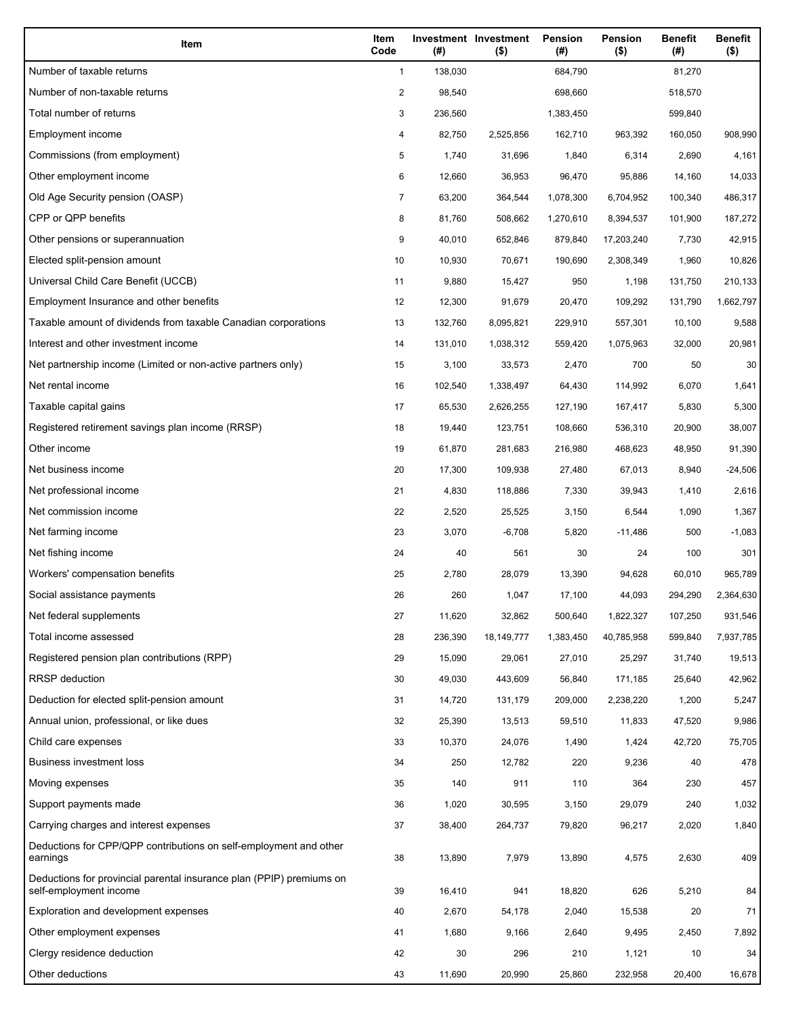| Item                                                                                           | Item<br>Code | (#)     | Investment Investment<br>$($ \$) | Pension<br>(#) | Pension<br>$($ \$) | <b>Benefit</b><br>(#) | <b>Benefit</b><br>$($ \$) |
|------------------------------------------------------------------------------------------------|--------------|---------|----------------------------------|----------------|--------------------|-----------------------|---------------------------|
| Number of taxable returns                                                                      | $\mathbf{1}$ | 138,030 |                                  | 684,790        |                    | 81,270                |                           |
| Number of non-taxable returns                                                                  | 2            | 98,540  |                                  | 698,660        |                    | 518,570               |                           |
| Total number of returns                                                                        | 3            | 236,560 |                                  | 1,383,450      |                    | 599,840               |                           |
| Employment income                                                                              | 4            | 82,750  | 2,525,856                        | 162,710        | 963,392            | 160,050               | 908,990                   |
| Commissions (from employment)                                                                  | 5            | 1,740   | 31,696                           | 1,840          | 6,314              | 2,690                 | 4,161                     |
| Other employment income                                                                        | 6            | 12,660  | 36,953                           | 96,470         | 95,886             | 14,160                | 14,033                    |
| Old Age Security pension (OASP)                                                                | 7            | 63,200  | 364,544                          | 1,078,300      | 6,704,952          | 100,340               | 486,317                   |
| CPP or QPP benefits                                                                            | 8            | 81,760  | 508,662                          | 1,270,610      | 8,394,537          | 101,900               | 187,272                   |
| Other pensions or superannuation                                                               | 9            | 40,010  | 652,846                          | 879,840        | 17,203,240         | 7,730                 | 42,915                    |
| Elected split-pension amount                                                                   | 10           | 10,930  | 70,671                           | 190,690        | 2,308,349          | 1,960                 | 10,826                    |
| Universal Child Care Benefit (UCCB)                                                            | 11           | 9,880   | 15,427                           | 950            | 1,198              | 131,750               | 210,133                   |
| Employment Insurance and other benefits                                                        | 12           | 12,300  | 91,679                           | 20,470         | 109,292            | 131,790               | 1,662,797                 |
| Taxable amount of dividends from taxable Canadian corporations                                 | 13           | 132,760 | 8,095,821                        | 229,910        | 557,301            | 10,100                | 9,588                     |
| Interest and other investment income                                                           | 14           | 131,010 | 1,038,312                        | 559,420        | 1,075,963          | 32,000                | 20,981                    |
| Net partnership income (Limited or non-active partners only)                                   | 15           | 3,100   | 33,573                           | 2,470          | 700                | 50                    | 30                        |
| Net rental income                                                                              | 16           | 102,540 | 1,338,497                        | 64,430         | 114,992            | 6,070                 | 1,641                     |
| Taxable capital gains                                                                          | 17           | 65,530  | 2,626,255                        | 127,190        | 167,417            | 5,830                 | 5,300                     |
| Registered retirement savings plan income (RRSP)                                               | 18           | 19,440  | 123,751                          | 108,660        | 536,310            | 20,900                | 38,007                    |
| Other income                                                                                   | 19           | 61,870  | 281,683                          | 216,980        | 468,623            | 48,950                | 91,390                    |
| Net business income                                                                            | 20           | 17,300  | 109,938                          | 27,480         | 67,013             | 8,940                 | $-24,506$                 |
| Net professional income                                                                        | 21           | 4,830   | 118,886                          | 7,330          | 39,943             | 1,410                 | 2,616                     |
| Net commission income                                                                          | 22           | 2,520   | 25,525                           | 3,150          | 6,544              | 1,090                 | 1,367                     |
| Net farming income                                                                             | 23           | 3,070   | $-6,708$                         | 5,820          | $-11,486$          | 500                   | $-1,083$                  |
| Net fishing income                                                                             | 24           | 40      | 561                              | 30             | 24                 | 100                   | 301                       |
| Workers' compensation benefits                                                                 | 25           | 2,780   | 28,079                           | 13,390         | 94,628             | 60,010                | 965,789                   |
| Social assistance payments                                                                     | 26           | 260     | 1,047                            | 17,100         | 44,093             | 294,290               | 2,364,630                 |
| Net federal supplements                                                                        | 27           | 11,620  | 32,862                           | 500,640        | 1,822,327          | 107,250               | 931,546                   |
| Total income assessed                                                                          | 28           | 236,390 | 18, 149, 777                     | 1,383,450      | 40,785,958         | 599,840               | 7,937,785                 |
| Registered pension plan contributions (RPP)                                                    | 29           | 15,090  | 29,061                           | 27,010         | 25,297             | 31,740                | 19,513                    |
| <b>RRSP</b> deduction                                                                          | 30           | 49,030  | 443,609                          | 56,840         | 171,185            | 25,640                | 42,962                    |
| Deduction for elected split-pension amount                                                     | 31           | 14,720  | 131,179                          | 209,000        | 2,238,220          | 1,200                 | 5,247                     |
| Annual union, professional, or like dues                                                       | 32           | 25,390  | 13,513                           | 59,510         | 11,833             | 47,520                | 9,986                     |
| Child care expenses                                                                            | 33           | 10,370  | 24,076                           | 1,490          | 1,424              | 42,720                | 75,705                    |
| <b>Business investment loss</b>                                                                | 34           | 250     | 12,782                           | 220            | 9,236              | 40                    | 478                       |
| Moving expenses                                                                                | 35           | 140     | 911                              | 110            | 364                | 230                   | 457                       |
| Support payments made                                                                          | 36           | 1,020   | 30,595                           | 3,150          | 29,079             | 240                   | 1,032                     |
| Carrying charges and interest expenses                                                         | 37           | 38,400  | 264,737                          | 79,820         | 96,217             | 2,020                 | 1,840                     |
| Deductions for CPP/QPP contributions on self-employment and other<br>earnings                  | 38           | 13,890  | 7,979                            | 13,890         | 4,575              | 2,630                 | 409                       |
| Deductions for provincial parental insurance plan (PPIP) premiums on<br>self-employment income | 39           | 16,410  | 941                              | 18,820         | 626                | 5,210                 | 84                        |
| Exploration and development expenses                                                           | 40           | 2,670   | 54,178                           | 2,040          | 15,538             | 20                    | 71                        |
| Other employment expenses                                                                      | 41           | 1,680   | 9,166                            | 2,640          | 9,495              | 2,450                 | 7,892                     |
| Clergy residence deduction                                                                     | 42           | 30      | 296                              | 210            | 1,121              | 10                    | 34                        |
| Other deductions                                                                               | 43           | 11,690  | 20,990                           | 25,860         | 232,958            | 20,400                | 16,678                    |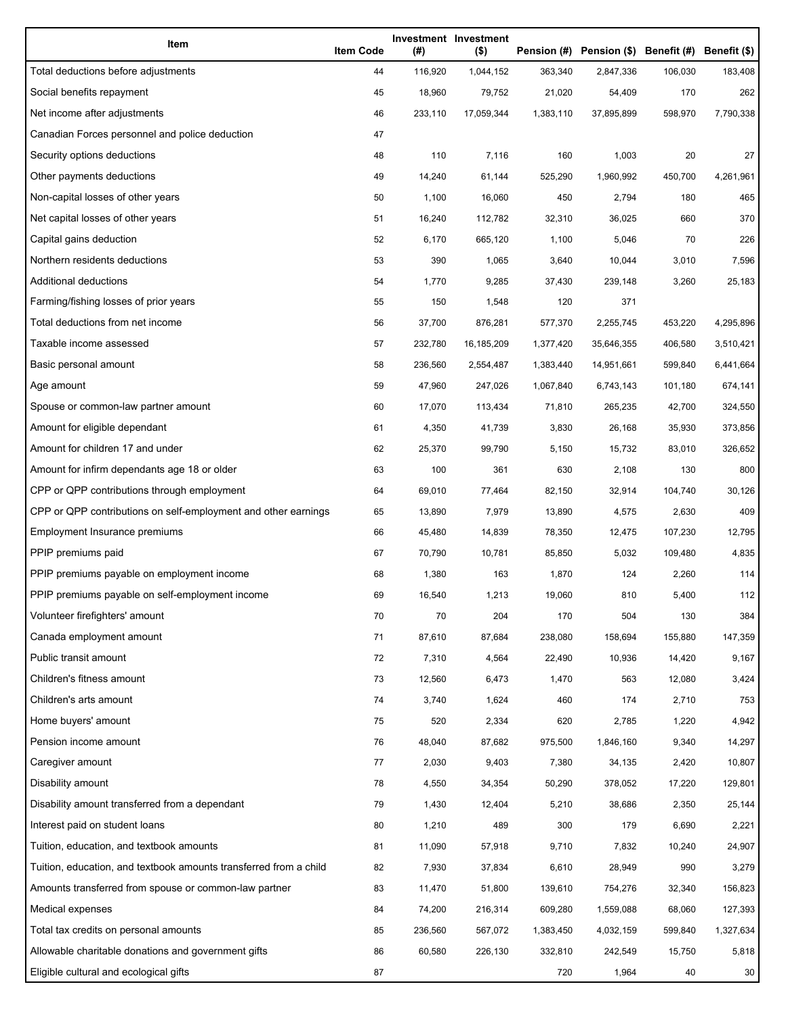| Item                                                              | <b>Item Code</b> | (#)     | Investment Investment<br>$($ \$) |           | Pension (#) Pension (\$) Benefit (#) Benefit (\$) |         |           |
|-------------------------------------------------------------------|------------------|---------|----------------------------------|-----------|---------------------------------------------------|---------|-----------|
| Total deductions before adjustments                               | 44               | 116,920 | 1,044,152                        | 363,340   | 2,847,336                                         | 106,030 | 183,408   |
| Social benefits repayment                                         | 45               | 18,960  | 79,752                           | 21,020    | 54,409                                            | 170     | 262       |
| Net income after adjustments                                      | 46               | 233,110 | 17,059,344                       | 1,383,110 | 37,895,899                                        | 598,970 | 7,790,338 |
| Canadian Forces personnel and police deduction                    | 47               |         |                                  |           |                                                   |         |           |
| Security options deductions                                       | 48               | 110     | 7,116                            | 160       | 1,003                                             | 20      | 27        |
| Other payments deductions                                         | 49               | 14,240  | 61,144                           | 525,290   | 1,960,992                                         | 450,700 | 4,261,961 |
| Non-capital losses of other years                                 | 50               | 1,100   | 16,060                           | 450       | 2,794                                             | 180     | 465       |
| Net capital losses of other years                                 | 51               | 16,240  | 112,782                          | 32,310    | 36,025                                            | 660     | 370       |
| Capital gains deduction                                           | 52               | 6,170   | 665,120                          | 1,100     | 5,046                                             | 70      | 226       |
| Northern residents deductions                                     | 53               | 390     | 1,065                            | 3,640     | 10,044                                            | 3,010   | 7,596     |
| Additional deductions                                             | 54               | 1,770   | 9,285                            | 37,430    | 239,148                                           | 3,260   | 25,183    |
| Farming/fishing losses of prior years                             | 55               | 150     | 1,548                            | 120       | 371                                               |         |           |
| Total deductions from net income                                  | 56               | 37,700  | 876,281                          | 577,370   | 2,255,745                                         | 453,220 | 4,295,896 |
| Taxable income assessed                                           | 57               | 232,780 | 16,185,209                       | 1,377,420 | 35,646,355                                        | 406,580 | 3,510,421 |
| Basic personal amount                                             | 58               | 236,560 | 2,554,487                        | 1,383,440 | 14,951,661                                        | 599,840 | 6,441,664 |
| Age amount                                                        | 59               | 47,960  | 247,026                          | 1,067,840 | 6,743,143                                         | 101,180 | 674,141   |
| Spouse or common-law partner amount                               | 60               | 17,070  | 113,434                          | 71,810    | 265,235                                           | 42,700  | 324,550   |
| Amount for eligible dependant                                     | 61               | 4,350   | 41,739                           | 3,830     | 26,168                                            | 35,930  | 373,856   |
| Amount for children 17 and under                                  | 62               | 25,370  | 99,790                           | 5,150     | 15,732                                            | 83,010  | 326,652   |
| Amount for infirm dependants age 18 or older                      | 63               | 100     | 361                              | 630       | 2,108                                             | 130     | 800       |
| CPP or QPP contributions through employment                       | 64               | 69,010  | 77,464                           | 82,150    | 32,914                                            | 104,740 | 30,126    |
| CPP or QPP contributions on self-employment and other earnings    | 65               | 13,890  | 7,979                            | 13,890    | 4,575                                             | 2,630   | 409       |
| Employment Insurance premiums                                     | 66               | 45,480  | 14,839                           | 78,350    | 12,475                                            | 107,230 | 12,795    |
| PPIP premiums paid                                                | 67               | 70,790  | 10,781                           | 85,850    | 5,032                                             | 109,480 | 4,835     |
| PPIP premiums payable on employment income                        | 68               | 1,380   | 163                              | 1,870     | 124                                               | 2,260   | 114       |
| PPIP premiums payable on self-employment income                   | 69               | 16,540  | 1,213                            | 19,060    | 810                                               | 5,400   | 112       |
| Volunteer firefighters' amount                                    | 70               | 70      | 204                              | 170       | 504                                               | 130     | 384       |
| Canada employment amount                                          | 71               | 87,610  | 87,684                           | 238,080   | 158,694                                           | 155,880 | 147,359   |
| Public transit amount                                             | 72               | 7,310   | 4,564                            | 22,490    | 10,936                                            | 14,420  | 9,167     |
| Children's fitness amount                                         | 73               | 12,560  | 6,473                            | 1,470     | 563                                               | 12,080  | 3,424     |
| Children's arts amount                                            | 74               | 3,740   | 1,624                            | 460       | 174                                               | 2,710   | 753       |
| Home buyers' amount                                               | 75               | 520     | 2,334                            | 620       | 2,785                                             | 1,220   | 4,942     |
| Pension income amount                                             | 76               | 48,040  | 87,682                           | 975,500   | 1,846,160                                         | 9,340   | 14,297    |
| Caregiver amount                                                  | 77               | 2,030   | 9,403                            | 7,380     | 34,135                                            | 2,420   | 10,807    |
| Disability amount                                                 | 78               | 4,550   | 34,354                           | 50,290    | 378,052                                           | 17,220  | 129,801   |
| Disability amount transferred from a dependant                    | 79               | 1,430   | 12,404                           | 5,210     | 38,686                                            | 2,350   | 25,144    |
| Interest paid on student loans                                    | 80               | 1,210   | 489                              | 300       | 179                                               | 6,690   | 2,221     |
| Tuition, education, and textbook amounts                          | 81               | 11,090  | 57,918                           | 9,710     | 7,832                                             | 10,240  | 24,907    |
| Tuition, education, and textbook amounts transferred from a child | 82               | 7,930   | 37,834                           | 6,610     | 28,949                                            | 990     | 3,279     |
| Amounts transferred from spouse or common-law partner             | 83               | 11,470  | 51,800                           | 139,610   | 754,276                                           | 32,340  | 156,823   |
| Medical expenses                                                  | 84               | 74,200  | 216,314                          | 609,280   | 1,559,088                                         | 68,060  | 127,393   |
| Total tax credits on personal amounts                             | 85               | 236,560 | 567,072                          | 1,383,450 | 4,032,159                                         | 599,840 | 1,327,634 |
| Allowable charitable donations and government gifts               | 86               | 60,580  | 226,130                          | 332,810   | 242,549                                           | 15,750  | 5,818     |
| Eligible cultural and ecological gifts                            | 87               |         |                                  | 720       | 1,964                                             | 40      | 30        |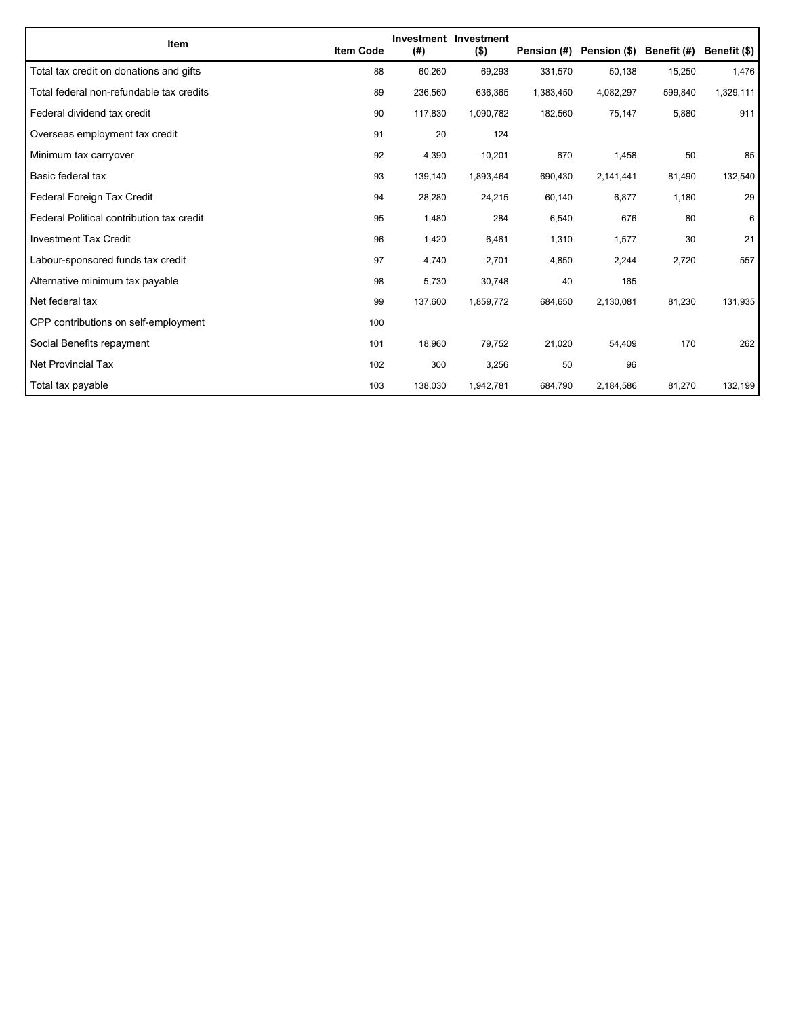| Item                                      | <b>Item Code</b> | (#)     | Investment Investment<br>$($ \$) | Pension (#) | Pension (\$) | Benefit (#) | Benefit (\$) |
|-------------------------------------------|------------------|---------|----------------------------------|-------------|--------------|-------------|--------------|
| Total tax credit on donations and gifts   | 88               | 60,260  | 69,293                           | 331,570     | 50,138       | 15,250      | 1,476        |
| Total federal non-refundable tax credits  | 89               | 236,560 | 636,365                          | 1,383,450   | 4,082,297    | 599,840     | 1,329,111    |
| Federal dividend tax credit               | 90               | 117,830 | 1,090,782                        | 182,560     | 75,147       | 5,880       | 911          |
| Overseas employment tax credit            | 91               | 20      | 124                              |             |              |             |              |
| Minimum tax carryover                     | 92               | 4,390   | 10,201                           | 670         | 1,458        | 50          | 85           |
| Basic federal tax                         | 93               | 139,140 | 1,893,464                        | 690,430     | 2,141,441    | 81,490      | 132,540      |
| Federal Foreign Tax Credit                | 94               | 28,280  | 24,215                           | 60,140      | 6,877        | 1,180       | 29           |
| Federal Political contribution tax credit | 95               | 1,480   | 284                              | 6,540       | 676          | 80          | 6            |
| <b>Investment Tax Credit</b>              | 96               | 1,420   | 6,461                            | 1,310       | 1,577        | 30          | 21           |
| Labour-sponsored funds tax credit         | 97               | 4,740   | 2,701                            | 4,850       | 2,244        | 2,720       | 557          |
| Alternative minimum tax payable           | 98               | 5,730   | 30,748                           | 40          | 165          |             |              |
| Net federal tax                           | 99               | 137,600 | 1,859,772                        | 684,650     | 2,130,081    | 81,230      | 131,935      |
| CPP contributions on self-employment      | 100              |         |                                  |             |              |             |              |
| Social Benefits repayment                 | 101              | 18,960  | 79,752                           | 21,020      | 54,409       | 170         | 262          |
| Net Provincial Tax                        | 102              | 300     | 3,256                            | 50          | 96           |             |              |
| Total tax payable                         | 103              | 138,030 | 1,942,781                        | 684,790     | 2,184,586    | 81,270      | 132,199      |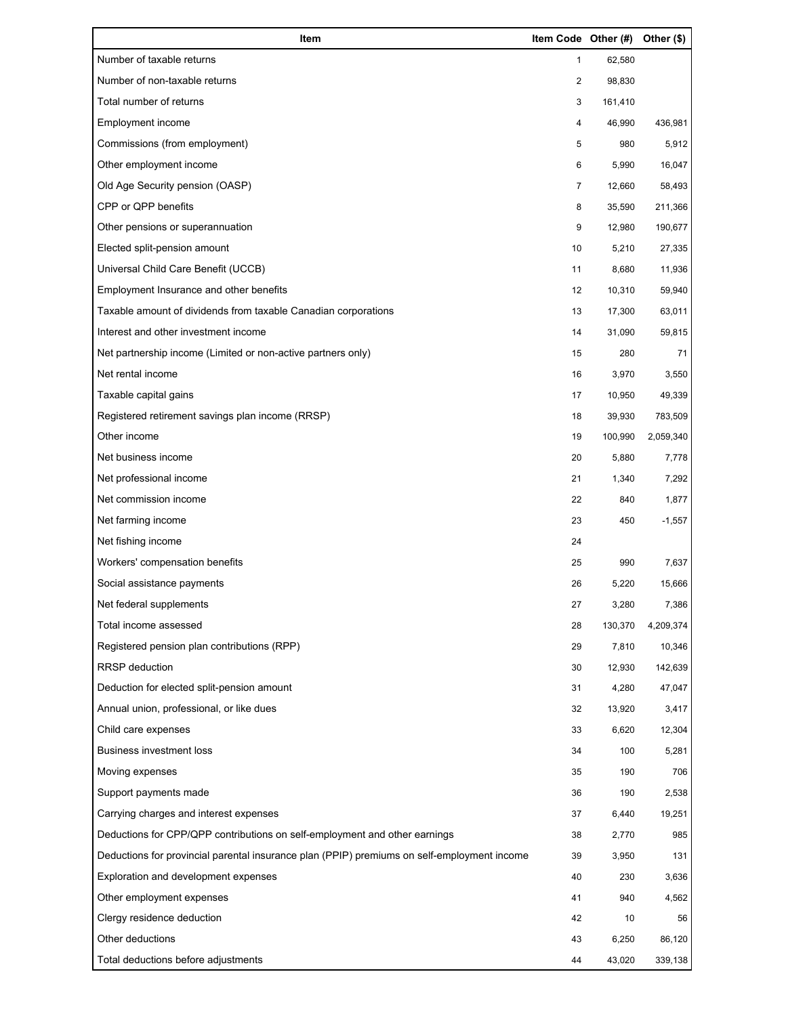| Item                                                                                        | Item Code Other (#) |         | Other (\$) |
|---------------------------------------------------------------------------------------------|---------------------|---------|------------|
| Number of taxable returns                                                                   | 1                   | 62,580  |            |
| Number of non-taxable returns                                                               | 2                   | 98,830  |            |
| Total number of returns                                                                     | 3                   | 161,410 |            |
| Employment income                                                                           | 4                   | 46,990  | 436,981    |
| Commissions (from employment)                                                               | 5                   | 980     | 5,912      |
| Other employment income                                                                     | 6                   | 5,990   | 16,047     |
| Old Age Security pension (OASP)                                                             | 7                   | 12,660  | 58,493     |
| CPP or QPP benefits                                                                         | 8                   | 35,590  | 211,366    |
| Other pensions or superannuation                                                            | 9                   | 12,980  | 190,677    |
| Elected split-pension amount                                                                | 10                  | 5,210   | 27,335     |
| Universal Child Care Benefit (UCCB)                                                         | 11                  | 8,680   | 11,936     |
| Employment Insurance and other benefits                                                     | 12                  | 10,310  | 59,940     |
| Taxable amount of dividends from taxable Canadian corporations                              | 13                  | 17,300  | 63,011     |
| Interest and other investment income                                                        | 14                  | 31,090  | 59,815     |
| Net partnership income (Limited or non-active partners only)                                | 15                  | 280     | 71         |
| Net rental income                                                                           | 16                  | 3,970   | 3,550      |
| Taxable capital gains                                                                       | 17                  | 10,950  | 49,339     |
| Registered retirement savings plan income (RRSP)                                            | 18                  | 39,930  | 783,509    |
| Other income                                                                                | 19                  | 100,990 | 2,059,340  |
| Net business income                                                                         | 20                  | 5,880   | 7,778      |
| Net professional income                                                                     | 21                  | 1,340   | 7,292      |
| Net commission income                                                                       | 22                  | 840     | 1,877      |
| Net farming income                                                                          | 23                  | 450     | $-1,557$   |
| Net fishing income                                                                          | 24                  |         |            |
| Workers' compensation benefits                                                              | 25                  | 990     | 7,637      |
| Social assistance payments                                                                  | 26                  | 5,220   | 15,666     |
| Net federal supplements                                                                     | 27                  | 3,280   | 7,386      |
| Total income assessed                                                                       | 28                  | 130,370 | 4,209,374  |
| Registered pension plan contributions (RPP)                                                 | 29                  | 7,810   | 10,346     |
| RRSP deduction                                                                              | 30                  | 12,930  | 142,639    |
| Deduction for elected split-pension amount                                                  | 31                  | 4,280   | 47,047     |
| Annual union, professional, or like dues                                                    | 32                  | 13,920  | 3,417      |
| Child care expenses                                                                         | 33                  | 6,620   | 12,304     |
| <b>Business investment loss</b>                                                             | 34                  | 100     | 5,281      |
| Moving expenses                                                                             | 35                  | 190     | 706        |
| Support payments made                                                                       | 36                  | 190     | 2,538      |
| Carrying charges and interest expenses                                                      | 37                  | 6,440   | 19,251     |
| Deductions for CPP/QPP contributions on self-employment and other earnings                  | 38                  | 2,770   | 985        |
| Deductions for provincial parental insurance plan (PPIP) premiums on self-employment income | 39                  | 3,950   | 131        |
| Exploration and development expenses                                                        | 40                  | 230     | 3,636      |
| Other employment expenses                                                                   | 41                  | 940     | 4,562      |
| Clergy residence deduction                                                                  | 42                  | 10      | 56         |
| Other deductions                                                                            | 43                  | 6,250   | 86,120     |
| Total deductions before adjustments                                                         | 44                  | 43,020  | 339,138    |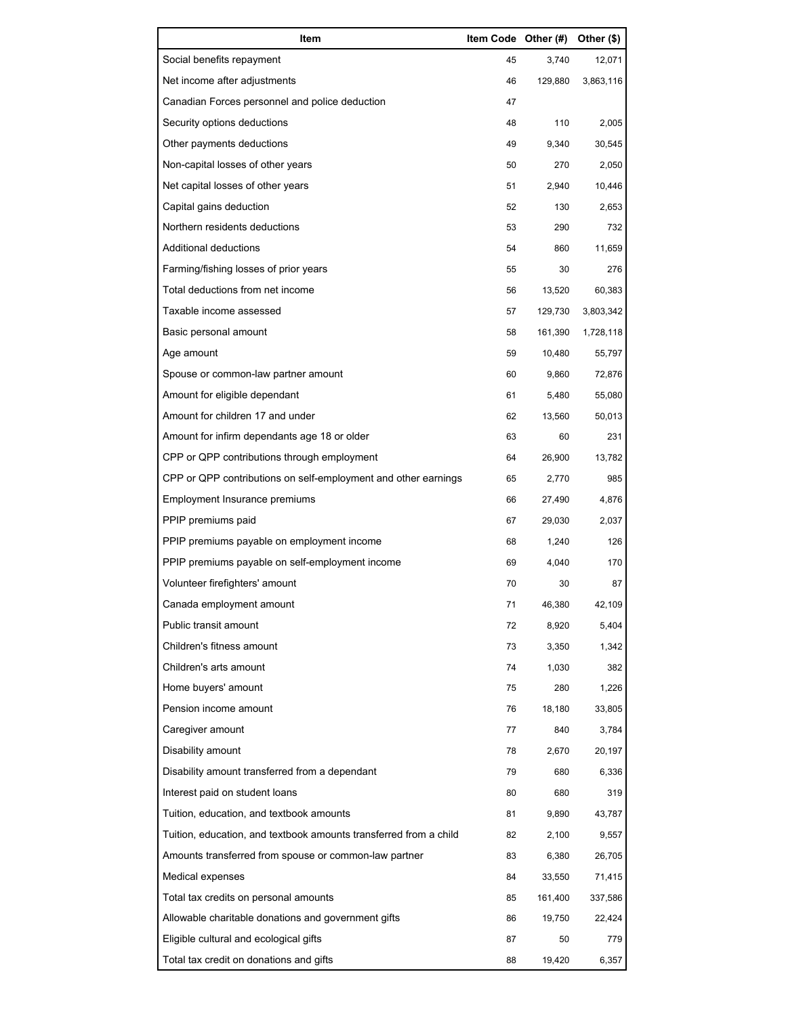| Item                                                              | Item Code Other (#) |         | Other (\$) |
|-------------------------------------------------------------------|---------------------|---------|------------|
| Social benefits repayment                                         | 45                  | 3,740   | 12,071     |
| Net income after adjustments                                      | 46                  | 129,880 | 3,863,116  |
| Canadian Forces personnel and police deduction                    | 47                  |         |            |
| Security options deductions                                       | 48                  | 110     | 2,005      |
| Other payments deductions                                         | 49                  | 9,340   | 30,545     |
| Non-capital losses of other years                                 | 50                  | 270     | 2,050      |
| Net capital losses of other years                                 | 51                  | 2,940   | 10,446     |
| Capital gains deduction                                           | 52                  | 130     | 2,653      |
| Northern residents deductions                                     | 53                  | 290     | 732        |
| Additional deductions                                             | 54                  | 860     | 11,659     |
| Farming/fishing losses of prior years                             | 55                  | 30      | 276        |
| Total deductions from net income                                  | 56                  | 13,520  | 60,383     |
| Taxable income assessed                                           | 57                  | 129,730 | 3,803,342  |
| Basic personal amount                                             | 58                  | 161,390 | 1,728,118  |
| Age amount                                                        | 59                  | 10,480  | 55,797     |
| Spouse or common-law partner amount                               | 60                  | 9,860   | 72,876     |
| Amount for eligible dependant                                     | 61                  | 5,480   | 55,080     |
| Amount for children 17 and under                                  | 62                  | 13,560  | 50,013     |
| Amount for infirm dependants age 18 or older                      | 63                  | 60      | 231        |
| CPP or QPP contributions through employment                       | 64                  | 26,900  | 13,782     |
| CPP or QPP contributions on self-employment and other earnings    | 65                  | 2,770   | 985        |
| Employment Insurance premiums                                     | 66                  | 27,490  | 4,876      |
| PPIP premiums paid                                                | 67                  | 29,030  | 2,037      |
| PPIP premiums payable on employment income                        | 68                  | 1,240   | 126        |
| PPIP premiums payable on self-employment income                   | 69                  | 4,040   | 170        |
| Volunteer firefighters' amount                                    | 70                  | 30      | 87         |
| Canada employment amount                                          | 71                  | 46,380  | 42,109     |
| Public transit amount                                             | 72                  | 8,920   | 5,404      |
| Children's fitness amount                                         | 73                  | 3,350   | 1,342      |
| Children's arts amount                                            | 74                  | 1,030   | 382        |
| Home buyers' amount                                               | 75                  | 280     | 1,226      |
| Pension income amount                                             | 76                  | 18,180  | 33,805     |
| Caregiver amount                                                  | 77                  | 840     | 3,784      |
| Disability amount                                                 | 78                  | 2,670   | 20,197     |
| Disability amount transferred from a dependant                    | 79                  | 680     | 6,336      |
| Interest paid on student loans                                    | 80                  | 680     | 319        |
| Tuition, education, and textbook amounts                          | 81                  | 9,890   | 43,787     |
| Tuition, education, and textbook amounts transferred from a child | 82                  | 2,100   | 9,557      |
| Amounts transferred from spouse or common-law partner             | 83                  | 6,380   | 26,705     |
| Medical expenses                                                  | 84                  | 33,550  | 71,415     |
| Total tax credits on personal amounts                             | 85                  | 161,400 | 337,586    |
| Allowable charitable donations and government gifts               | 86                  | 19,750  | 22,424     |
| Eligible cultural and ecological gifts                            | 87                  | 50      | 779        |
| Total tax credit on donations and gifts                           | 88                  | 19,420  | 6,357      |